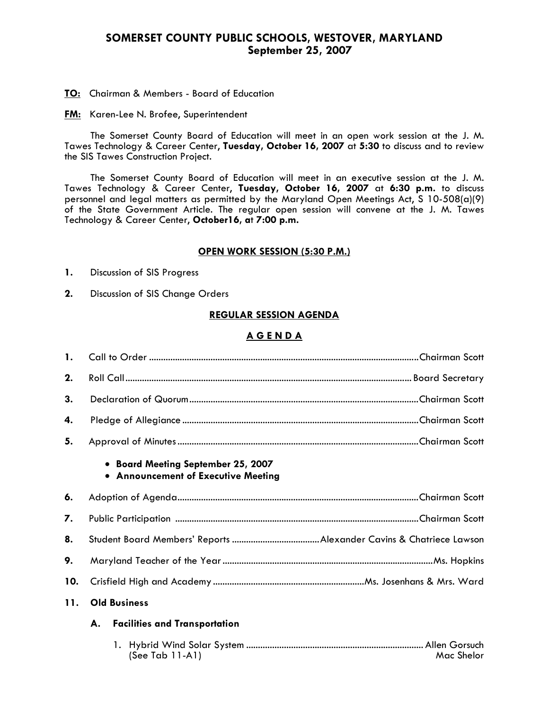# **SOMERSET COUNTY PUBLIC SCHOOLS, WESTOVER, MARYLAND September 25, 2007**

**TO:** Chairman & Members - Board of Education

**FM:** Karen-Lee N. Brofee, Superintendent

 The Somerset County Board of Education will meet in an open work session at the J. M. Tawes Technology & Career Center, **Tuesday, October 16, 2007** at **5:30** to discuss and to review the SIS Tawes Construction Project.

The Somerset County Board of Education will meet in an executive session at the J. M. Tawes Technology & Career Center, **Tuesday, October 16, 2007** at **6:30 p.m.** to discuss personnel and legal matters as permitted by the Maryland Open Meetings Act, S 10-508(a)(9) of the State Government Article. The regular open session will convene at the J. M. Tawes Technology & Career Center, **October16, a**t **7:00 p.m.** 

#### **OPEN WORK SESSION (5:30 P.M.)**

- **1.** Discussion of SIS Progress
- **2.** Discussion of SIS Change Orders

### **REGULAR SESSION AGENDA**

## **A G E N D A**

| 1.  |                                                                           |  |  |
|-----|---------------------------------------------------------------------------|--|--|
| 2.  |                                                                           |  |  |
| 3.  |                                                                           |  |  |
| 4.  |                                                                           |  |  |
| 5.  |                                                                           |  |  |
|     | • Board Meeting September 25, 2007<br>• Announcement of Executive Meeting |  |  |
| 6.  |                                                                           |  |  |
| 7.  |                                                                           |  |  |
| 8.  |                                                                           |  |  |
| 9.  |                                                                           |  |  |
| 10. |                                                                           |  |  |
| 11. | <b>Old Business</b>                                                       |  |  |
|     | А.<br><b>Facilities and Transportation</b>                                |  |  |
|     | (See Tab 11-A1)<br>Mac Shelor                                             |  |  |